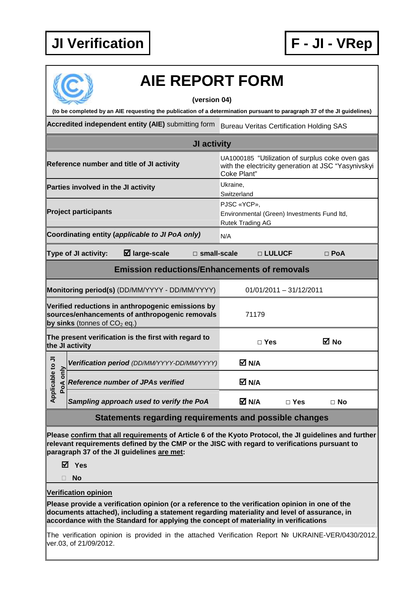

## **AIE REPORT FORM**

## **(version 04)**

**(to be completed by an AIE requesting the publication of a determination pursuant to paragraph 37 of the JI guidelines)** 

Accredited independent entity (AIE) submitting form Bureau Veritas Certification Holding SAS

| JI activity                                                                                                           |                    |               |  |  |  |  |
|-----------------------------------------------------------------------------------------------------------------------|--------------------|---------------|--|--|--|--|
| UA1000185 "Utilization of surplus coke oven gas<br>with the electricity generation at JSC "Yasynivskyi<br>Coke Plant" |                    |               |  |  |  |  |
| Ukraine,<br>Switzerland                                                                                               |                    |               |  |  |  |  |
| PJSC «YCP»,<br>Environmental (Green) Investments Fund Itd,<br>Rutek Trading AG                                        |                    |               |  |  |  |  |
| N/A                                                                                                                   |                    |               |  |  |  |  |
|                                                                                                                       |                    | $\Box$ PoA    |  |  |  |  |
| <b>Emission reductions/Enhancements of removals</b>                                                                   |                    |               |  |  |  |  |
| $01/01/2011 - 31/12/2011$                                                                                             |                    |               |  |  |  |  |
| 71179                                                                                                                 |                    |               |  |  |  |  |
| $\Box$ Yes                                                                                                            |                    | ⊠ No          |  |  |  |  |
| M N/A                                                                                                                 |                    |               |  |  |  |  |
| M N/A                                                                                                                 |                    |               |  |  |  |  |
| <b>⊠ N/A</b>                                                                                                          | $\square$ Yes      | $\Box$ No     |  |  |  |  |
| Statements regarding requirements and possible changes                                                                |                    |               |  |  |  |  |
|                                                                                                                       | $\Box$ small-scale | $\Box$ LULUCF |  |  |  |  |

**Please confirm that all requirements of Article 6 of the Kyoto Protocol, the JI guidelines and further relevant requirements defined by the CMP or the JISC with regard to verifications pursuant to paragraph 37 of the JI guidelines are met:** 

**Yes** 

**No** 

**Verification opinion**

**Please provide a verification opinion (or a reference to the verification opinion in one of the documents attached), including a statement regarding materiality and level of assurance, in accordance with the Standard for applying the concept of materiality in verifications** 

The verification opinion is provided in the attached Verification Report № UKRAINE-VER/0430/2012, ver.03, of 21/09/2012.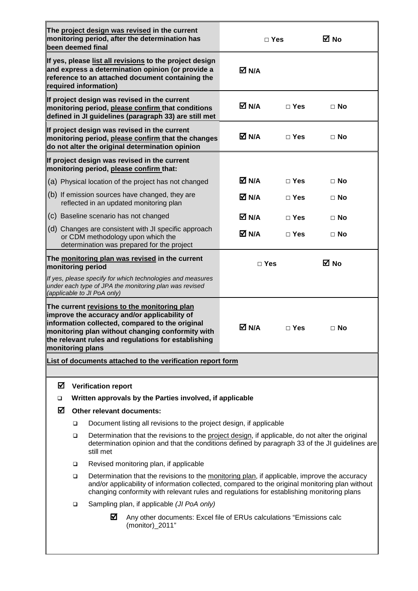| The project design was revised in the current<br>monitoring period, after the determination has<br>been deemed final                                                                                                                                                           |                                                                                                                                                                                                                                                                                                   |                             |                                                                                                                                                            | $\Box$ Yes                       |               | M No      |
|--------------------------------------------------------------------------------------------------------------------------------------------------------------------------------------------------------------------------------------------------------------------------------|---------------------------------------------------------------------------------------------------------------------------------------------------------------------------------------------------------------------------------------------------------------------------------------------------|-----------------------------|------------------------------------------------------------------------------------------------------------------------------------------------------------|----------------------------------|---------------|-----------|
| If yes, please list all revisions to the project design<br>and express a determination opinion (or provide a<br>reference to an attached document containing the<br>required information)                                                                                      |                                                                                                                                                                                                                                                                                                   |                             |                                                                                                                                                            | M N/A                            |               |           |
|                                                                                                                                                                                                                                                                                |                                                                                                                                                                                                                                                                                                   |                             | If project design was revised in the current<br>monitoring period, please confirm that conditions<br>defined in JI guidelines (paragraph 33) are still met | M N/A                            | $\Box$ Yes    | $\Box$ No |
|                                                                                                                                                                                                                                                                                |                                                                                                                                                                                                                                                                                                   |                             | If project design was revised in the current<br>monitoring period, please confirm that the changes<br>do not alter the original determination opinion      | M N/A                            | $\Box$ Yes    | $\Box$ No |
| If project design was revised in the current<br>monitoring period, please confirm that:                                                                                                                                                                                        |                                                                                                                                                                                                                                                                                                   |                             |                                                                                                                                                            |                                  |               |           |
|                                                                                                                                                                                                                                                                                |                                                                                                                                                                                                                                                                                                   |                             | (a) Physical location of the project has not changed                                                                                                       | M N⊿                             | $\Box$ Yes    | $\Box$ No |
|                                                                                                                                                                                                                                                                                |                                                                                                                                                                                                                                                                                                   |                             | (b) If emission sources have changed, they are<br>reflected in an updated monitoring plan                                                                  | M N/A<br>$\Box$ Yes<br>$\Box$ No |               |           |
|                                                                                                                                                                                                                                                                                |                                                                                                                                                                                                                                                                                                   |                             | (c) Baseline scenario has not changed                                                                                                                      | M N⊿<br>$\Box$ Yes<br>$\Box$ No  |               |           |
|                                                                                                                                                                                                                                                                                |                                                                                                                                                                                                                                                                                                   |                             | (d) Changes are consistent with JI specific approach<br>or CDM methodology upon which the<br>determination was prepared for the project                    | M N/A                            | $\Box$ Yes    | $\Box$ No |
| The monitoring plan was revised in the current<br>monitoring period                                                                                                                                                                                                            |                                                                                                                                                                                                                                                                                                   |                             |                                                                                                                                                            | $\Box$ Yes                       |               | ⊠ No      |
|                                                                                                                                                                                                                                                                                |                                                                                                                                                                                                                                                                                                   | (applicable to JI PoA only) | If yes, please specify for which technologies and measures<br>under each type of JPA the monitoring plan was revised                                       |                                  |               |           |
| The current revisions to the monitoring plan<br>improve the accuracy and/or applicability of<br>information collected, compared to the original<br>monitoring plan without changing conformity with<br>the relevant rules and regulations for establishing<br>monitoring plans |                                                                                                                                                                                                                                                                                                   |                             |                                                                                                                                                            | M N/A                            | $\square$ Yes | $\Box$ No |
| List of documents attached to the verification report form                                                                                                                                                                                                                     |                                                                                                                                                                                                                                                                                                   |                             |                                                                                                                                                            |                                  |               |           |
| ☑                                                                                                                                                                                                                                                                              |                                                                                                                                                                                                                                                                                                   | <b>Verification report</b>  |                                                                                                                                                            |                                  |               |           |
| □                                                                                                                                                                                                                                                                              |                                                                                                                                                                                                                                                                                                   |                             | Written approvals by the Parties involved, if applicable                                                                                                   |                                  |               |           |
| ☑<br>Other relevant documents:                                                                                                                                                                                                                                                 |                                                                                                                                                                                                                                                                                                   |                             |                                                                                                                                                            |                                  |               |           |
|                                                                                                                                                                                                                                                                                | Document listing all revisions to the project design, if applicable<br>□                                                                                                                                                                                                                          |                             |                                                                                                                                                            |                                  |               |           |
|                                                                                                                                                                                                                                                                                | Determination that the revisions to the project design, if applicable, do not alter the original<br>□<br>determination opinion and that the conditions defined by paragraph 33 of the JI guidelines are<br>still met                                                                              |                             |                                                                                                                                                            |                                  |               |           |
|                                                                                                                                                                                                                                                                                | □                                                                                                                                                                                                                                                                                                 |                             | Revised monitoring plan, if applicable                                                                                                                     |                                  |               |           |
|                                                                                                                                                                                                                                                                                | Determination that the revisions to the monitoring plan, if applicable, improve the accuracy<br>□<br>and/or applicability of information collected, compared to the original monitoring plan without<br>changing conformity with relevant rules and regulations for establishing monitoring plans |                             |                                                                                                                                                            |                                  |               |           |
|                                                                                                                                                                                                                                                                                | Sampling plan, if applicable (JI PoA only)<br>□                                                                                                                                                                                                                                                   |                             |                                                                                                                                                            |                                  |               |           |
|                                                                                                                                                                                                                                                                                | ☑<br>Any other documents: Excel file of ERUs calculations "Emissions calc<br>(monitor)_2011"                                                                                                                                                                                                      |                             |                                                                                                                                                            |                                  |               |           |
|                                                                                                                                                                                                                                                                                |                                                                                                                                                                                                                                                                                                   |                             |                                                                                                                                                            |                                  |               |           |

F

٦